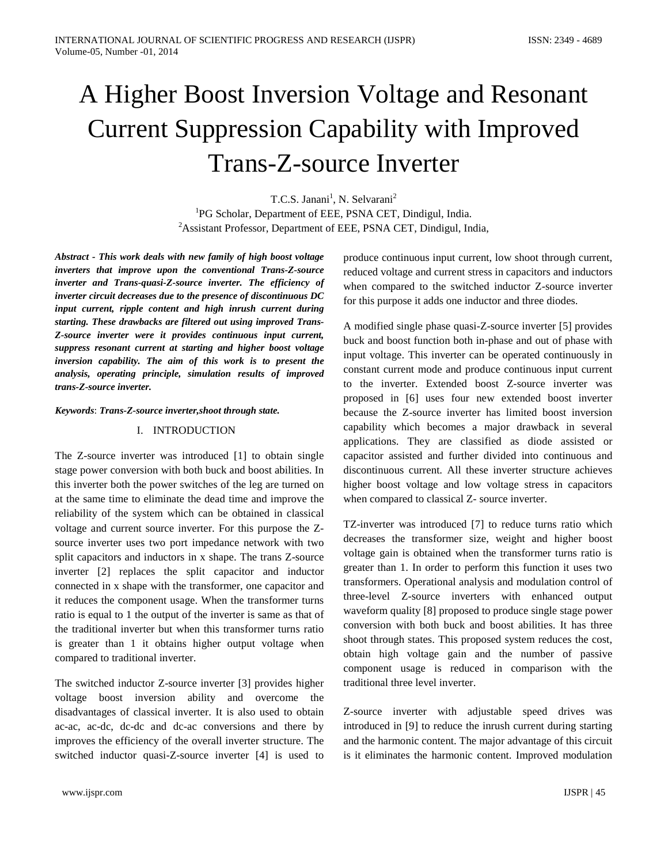# A Higher Boost Inversion Voltage and Resonant Current Suppression Capability with Improved Trans-Z-source Inverter

T.C.S. Janani<sup>1</sup>, N. Selvarani<sup>2</sup> <sup>1</sup>PG Scholar, Department of EEE, PSNA CET, Dindigul, India. <sup>2</sup> Assistant Professor, Department of EEE, PSNA CET, Dindigul, India,

*Abstract - This work deals with new family of high boost voltage inverters that improve upon the conventional Trans-Z-source inverter and Trans-quasi-Z-source inverter. The efficiency of inverter circuit decreases due to the presence of discontinuous DC input current, ripple content and high inrush current during starting. These drawbacks are filtered out using improved Trans-Z-source inverter were it provides continuous input current, suppress resonant current at starting and higher boost voltage inversion capability. The aim of this work is to present the analysis, operating principle, simulation results of improved trans-Z-source inverter.*

#### *Keywords*: *Trans-Z-source inverter,shoot through state.*

#### I. INTRODUCTION

The Z-source inverter was introduced [1] to obtain single stage power conversion with both buck and boost abilities. In this inverter both the power switches of the leg are turned on at the same time to eliminate the dead time and improve the reliability of the system which can be obtained in classical voltage and current source inverter. For this purpose the Zsource inverter uses two port impedance network with two split capacitors and inductors in x shape. The trans Z-source inverter [2] replaces the split capacitor and inductor connected in x shape with the transformer, one capacitor and it reduces the component usage. When the transformer turns ratio is equal to 1 the output of the inverter is same as that of the traditional inverter but when this transformer turns ratio is greater than 1 it obtains higher output voltage when compared to traditional inverter.

The switched inductor Z-source inverter [3] provides higher voltage boost inversion ability and overcome the disadvantages of classical inverter. It is also used to obtain ac-ac, ac-dc, dc-dc and dc-ac conversions and there by improves the efficiency of the overall inverter structure. The switched inductor quasi-Z-source inverter [4] is used to

produce continuous input current, low shoot through current, reduced voltage and current stress in capacitors and inductors when compared to the switched inductor Z-source inverter for this purpose it adds one inductor and three diodes.

A modified single phase quasi-Z-source inverter [5] provides buck and boost function both in-phase and out of phase with input voltage. This inverter can be operated continuously in constant current mode and produce continuous input current to the inverter. Extended boost Z-source inverter was proposed in [6] uses four new extended boost inverter because the Z-source inverter has limited boost inversion capability which becomes a major drawback in several applications. They are classified as diode assisted or capacitor assisted and further divided into continuous and discontinuous current. All these inverter structure achieves higher boost voltage and low voltage stress in capacitors when compared to classical Z- source inverter.

TZ-inverter was introduced [7] to reduce turns ratio which decreases the transformer size, weight and higher boost voltage gain is obtained when the transformer turns ratio is greater than 1. In order to perform this function it uses two transformers. Operational analysis and modulation control of three-level Z-source inverters with enhanced output waveform quality [8] proposed to produce single stage power conversion with both buck and boost abilities. It has three shoot through states. This proposed system reduces the cost, obtain high voltage gain and the number of passive component usage is reduced in comparison with the traditional three level inverter.

Z-source inverter with adjustable speed drives was introduced in [9] to reduce the inrush current during starting and the harmonic content. The major advantage of this circuit is it eliminates the harmonic content. Improved modulation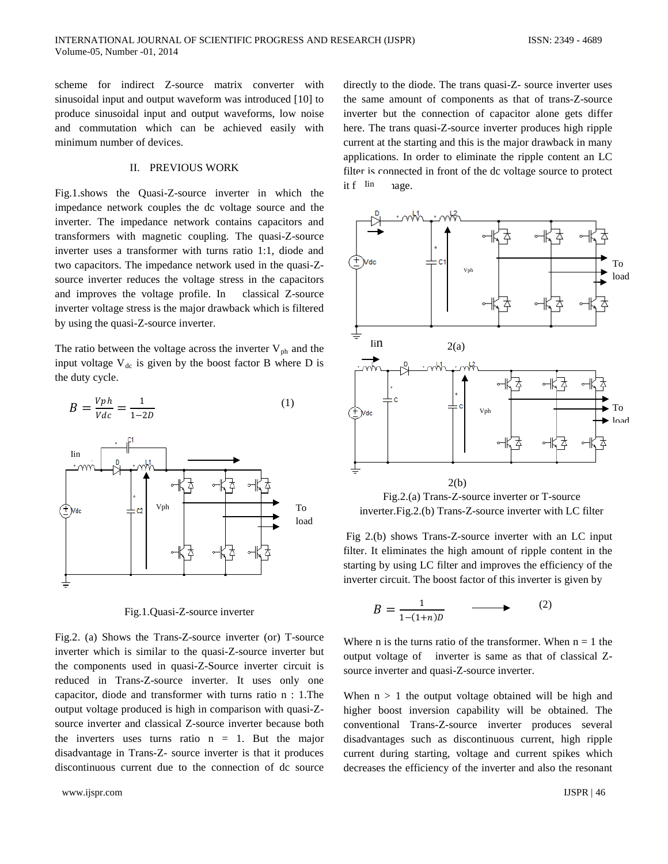scheme for indirect Z-source matrix converter with sinusoidal input and output waveform was introduced [10] to produce sinusoidal input and output waveforms, low noise and commutation which can be achieved easily with minimum number of devices.

## II. PREVIOUS WORK

Fig.1.shows the Quasi-Z-source inverter in which the impedance network couples the dc voltage source and the inverter. The impedance network contains capacitors and transformers with magnetic coupling. The quasi-Z-source inverter uses a transformer with turns ratio 1:1, diode and two capacitors. The impedance network used in the quasi-Zsource inverter reduces the voltage stress in the capacitors and improves the voltage profile. In classical Z-source inverter voltage stress is the major drawback which is filtered by using the quasi-Z-source inverter.

The ratio between the voltage across the inverter  $V_{ph}$  and the input voltage  $V_{dc}$  is given by the boost factor B where D is the duty cycle.



Fig.1.Quasi-Z-source inverter

Fig.2. (a) Shows the Trans-Z-source inverter (or) T-source inverter which is similar to the quasi-Z-source inverter but the components used in quasi-Z-Source inverter circuit is reduced in Trans-Z-source inverter. It uses only one capacitor, diode and transformer with turns ratio n : 1.The output voltage produced is high in comparison with quasi-Zsource inverter and classical Z-source inverter because both the inverters uses turns ratio  $n = 1$ . But the major disadvantage in Trans-Z- source inverter is that it produces discontinuous current due to the connection of dc source

directly to the diode. The trans quasi-Z- source inverter uses the same amount of components as that of trans-Z-source inverter but the connection of capacitor alone gets differ here. The trans quasi-Z-source inverter produces high ripple current at the starting and this is the major drawback in many applications. In order to eliminate the ripple content an LC filter is connected in front of the dc voltage source to protect it f<sup>Iin</sup> age.



Fig.2.(a) Trans-Z-source inverter or T-source inverter.Fig.2.(b) Trans-Z-source inverter with LC filter

Fig 2.(b) shows Trans-Z-source inverter with an LC input filter. It eliminates the high amount of ripple content in the starting by using LC filter and improves the efficiency of the inverter circuit. The boost factor of this inverter is given by

$$
B = \frac{1}{1 - (1 + n)D} \qquad \longrightarrow \qquad (2)
$$

Where n is the turns ratio of the transformer. When  $n = 1$  the output voltage of inverter is same as that of classical Zsource inverter and quasi-Z-source inverter.

When  $n > 1$  the output voltage obtained will be high and higher boost inversion capability will be obtained. The conventional Trans-Z-source inverter produces several disadvantages such as discontinuous current, high ripple current during starting, voltage and current spikes which decreases the efficiency of the inverter and also the resonant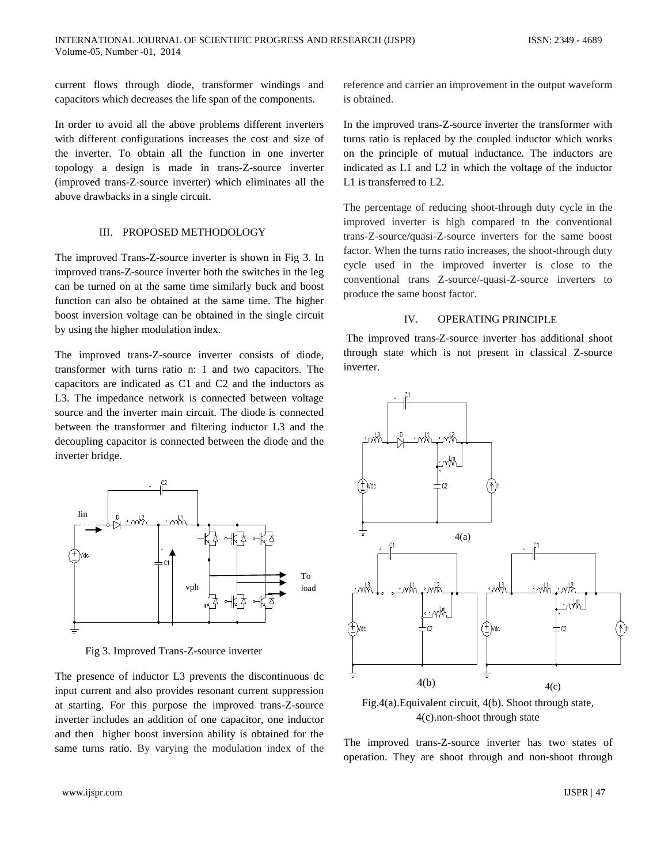current flows through diode, transformer windings and capacitors which decreases the life span of the components.

In order to avoid all the above problems different inverters with different configurations increases the cost and size of the inverter. To obtain all the function in one inverter topology a design is made in trans-Z-source inverter (improved trans-Z-source inverter) which eliminates all the above drawbacks in a single circuit.

#### III. PROPOSED METHODOLOGY

The improved Trans-Z-source inverter is shown in Fig 3. In improved trans-Z-source inverter both the switches in the leg can be turned on at the same time similarly buck and boost function can also be obtained at the same time. The higher boost inversion voltage can be obtained in the single circuit by using the higher modulation index.

The improved trans-Z-source inverter consists of diode, transformer with turns ratio n: 1 and two capacitors. The capacitors are indicated as C1 and C2 and the inductors as L3. The impedance network is connected between voltage source and the inverter main circuit. The diode is connected between the transformer and filtering inductor L3 and the decoupling capacitor is connected between the diode and the inverter bridge.



Fig 3. Improved Trans-Z-source inverter

The presence of inductor L3 prevents the discontinuous dc input current and also provides resonant current suppression at starting. For this purpose the improved trans-Z-source inverter includes an addition of one capacitor, one inductor and then higher boost inversion ability is obtained for the same turns ratio. By varying the modulation index of the

reference and carrier an improvement in the output waveform is obtained.

In the improved trans-Z-source inverter the transformer with turns ratio is replaced by the coupled inductor which works on the principle of mutual inductance. The inductors are indicated as L1 and L2 in which the voltage of the inductor L1 is transferred to L2.

The percentage of reducing shoot-through duty cycle in the improved inverter is high compared to the conventional trans-Z-source/quasi-Z-source inverters for the same boost factor. When the turns ratio increases, the shoot-through duty cycle used in the improved inverter is close to the conventional trans Z-source/-quasi-Z-source inverters to produce the same boost factor.

# IV. OPERATING PRINCIPLE

The improved trans-Z-source inverter has additional shoot through state which is not present in classical Z-source inverter.



Fig.4(a).Equivalent circuit, 4(b). Shoot through state, 4(c).non-shoot through state

The improved trans-Z-source inverter has two states of operation. They are shoot through and non-shoot through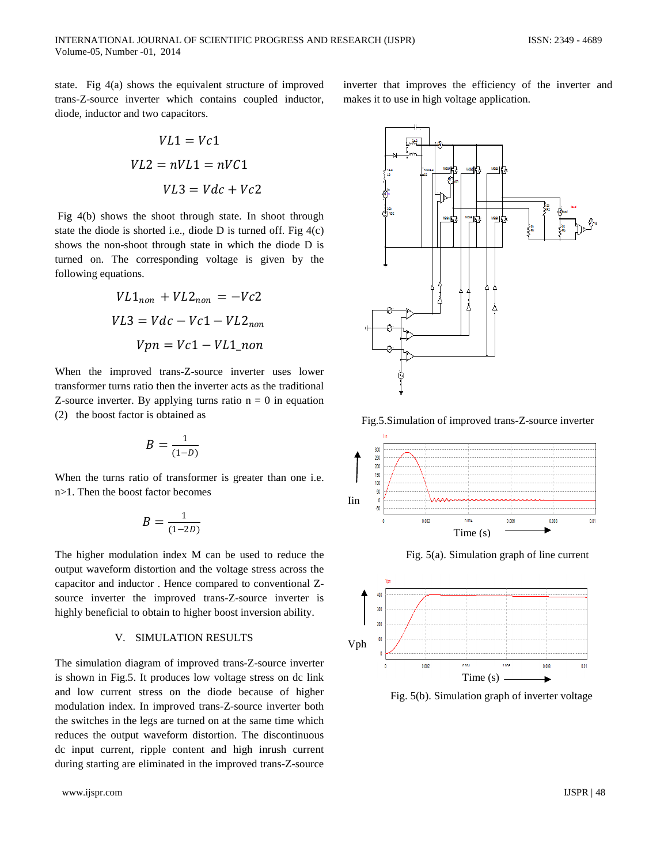state. Fig 4(a) shows the equivalent structure of improved trans-Z-source inverter which contains coupled inductor, diode, inductor and two capacitors.

$$
VL1 = Vc1
$$

$$
VL2 = nVL1 = nVC1
$$

$$
VL3 = Vdc + VC2
$$

Fig 4(b) shows the shoot through state. In shoot through state the diode is shorted i.e., diode  $D$  is turned off. Fig  $4(c)$ shows the non-shoot through state in which the diode D is turned on. The corresponding voltage is given by the following equations.

$$
VL1_{non} + VL2_{non} = -Vc2
$$

$$
VL3 = Vdc - Vc1 - VL2_{non}
$$

$$
Vpn = Vc1 - VL1_{non}
$$

When the improved trans-Z-source inverter uses lower transformer turns ratio then the inverter acts as the traditional Z-source inverter. By applying turns ratio  $n = 0$  in equation (2) the boost factor is obtained as

$$
B=\frac{1}{(1-D)}
$$

When the turns ratio of transformer is greater than one i.e. n>1. Then the boost factor becomes

$$
B=\frac{1}{(1-2D)}
$$

The higher modulation index M can be used to reduce the output waveform distortion and the voltage stress across the capacitor and inductor . Hence compared to conventional Zsource inverter the improved trans-Z-source inverter is highly beneficial to obtain to higher boost inversion ability.

## V. SIMULATION RESULTS

The simulation diagram of improved trans-Z-source inverter is shown in Fig.5. It produces low voltage stress on dc link and low current stress on the diode because of higher modulation index. In improved trans-Z-source inverter both the switches in the legs are turned on at the same time which reduces the output waveform distortion. The discontinuous dc input current, ripple content and high inrush current during starting are eliminated in the improved trans-Z-source inverter that improves the efficiency of the inverter and makes it to use in high voltage application.



Fig.5.Simulation of improved trans-Z-source inverter





Fig. 5(b). Simulation graph of inverter voltage